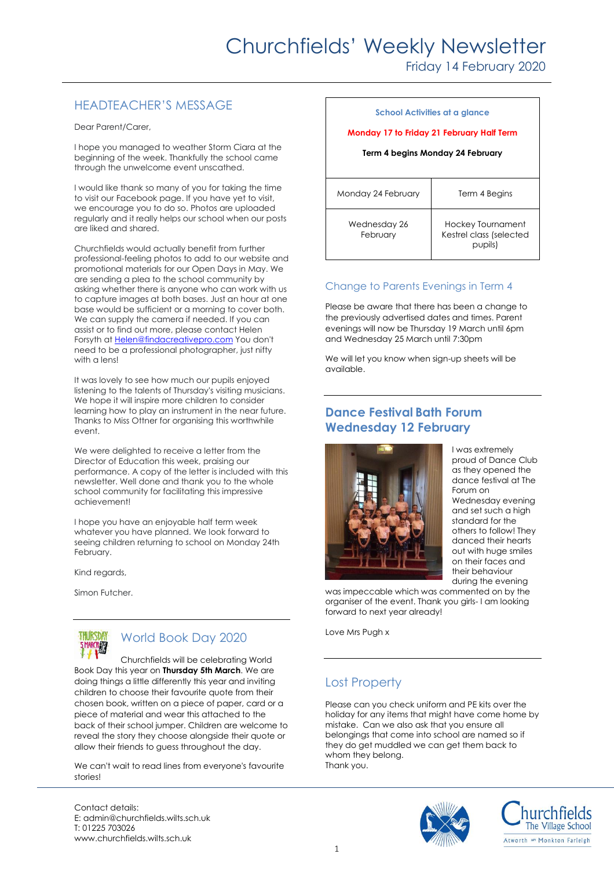# Churchfields' Weekly Newsletter

Friday 14 February 2020

### HEADTEACHER'S MESSAGE

Dear Parent/Carer,

I hope you managed to weather Storm Ciara at the beginning of the week. Thankfully the school came through the unwelcome event unscathed.

I would like thank so many of you for taking the time to visit our Facebook page. If you have yet to visit, we encourage you to do so. Photos are uploaded regularly and it really helps our school when our posts are liked and shared.

Churchfields would actually benefit from further professional-feeling photos to add to our website and promotional materials for our Open Days in May. We are sending a plea to the school community by asking whether there is anyone who can work with us to capture images at both bases. Just an hour at one base would be sufficient or a morning to cover both. We can supply the camera if needed. If you can assist or to find out more, please contact Helen Forsyth at [Helen@findacreativepro.com](mailto:Helen@findacreativepro.com) You don't need to be a professional photographer, just nifty with a lens!

It was lovely to see how much our pupils enjoyed listening to the talents of Thursday's visiting musicians. We hope it will inspire more children to consider learning how to play an instrument in the near future. Thanks to Miss Ottner for organising this worthwhile event.

We were delighted to receive a letter from the Director of Education this week, praising our performance. A copy of the letter is included with this newsletter. Well done and thank you to the whole school community for facilitating this impressive achievement!

I hope you have an enjoyable half term week whatever you have planned. We look forward to seeing children returning to school on Monday 24th February.

Kind regards,

Simon Futcher.



## World Book Day 2020

Churchfields will be celebrating World Book Day this year on **Thursday 5th March**. We are doing things a little differently this year and inviting children to choose their favourite quote from their chosen book, written on a piece of paper, card or a piece of material and wear this attached to the back of their school jumper. Children are welcome to reveal the story they choose alongside their quote or allow their friends to guess throughout the day.

We can't wait to read lines from everyone's favourite stories!

Contact details: E: admin@churchfields.wilts.sch.uk T: 01225 703026 www.churchfields.wilts.sch.uk

| School Activities at a glance<br>Monday 17 to Friday 21 February Half Term<br>Term 4 begins Monday 24 February |                                                         |
|----------------------------------------------------------------------------------------------------------------|---------------------------------------------------------|
| Monday 24 February                                                                                             | Term 4 Begins                                           |
| Wednesday 26<br>February                                                                                       | Hockey Tournament<br>Kestrel class (selected<br>pupils) |

#### Change to Parents Evenings in Term 4

Please be aware that there has been a change to the previously advertised dates and times. Parent evenings will now be Thursday 19 March until 6pm and Wednesday 25 March until 7:30pm

We will let you know when sign-up sheets will be available.

#### **Dance Festival Bath Forum Wednesday 12 February**



I was extremely proud of Dance Club as they opened the dance festival at The Forum on Wednesday evening and set such a high standard for the others to follow! They danced their hearts out with huge smiles on their faces and their behaviour during the evening

was impeccable which was commented on by the organiser of the event. Thank you girls- I am looking forward to next year already!

Love Mrs Pugh x

### Lost Property

Please can you check uniform and PE kits over the holiday for any items that might have come home by mistake. Can we also ask that you ensure all belongings that come into school are named so if they do get muddled we can get them back to whom they belong. Thank you.



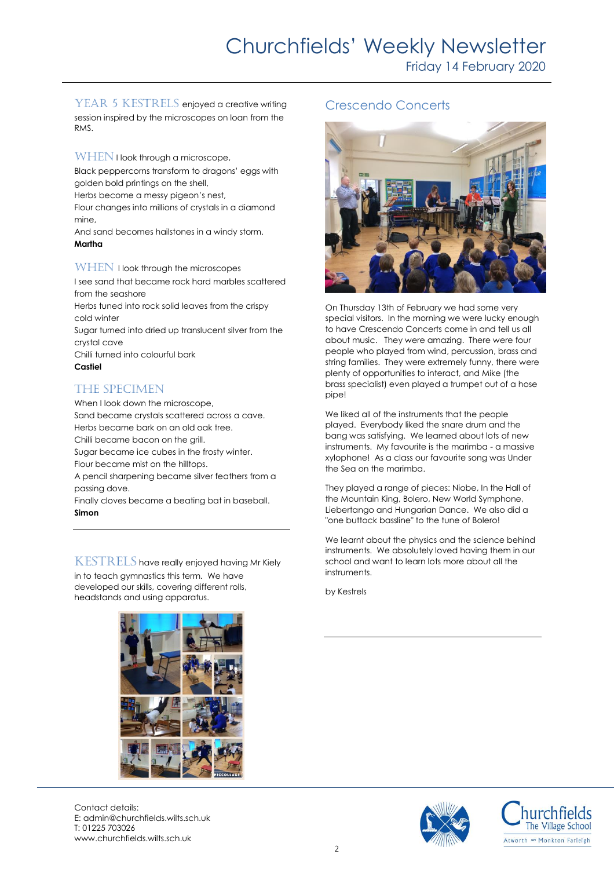Friday 14 February 2020

YEAR 5 KESTRELS enjoyed a creative writing session inspired by the microscopes on loan from the RMS.

WHEN I look through a microscope,

Black peppercorns transform to dragons' eggs with golden bold printings on the shell,

Herbs become a messy pigeon's nest,

Flour changes into millions of crystals in a diamond mine,

And sand becomes hailstones in a windy storm. **Martha**

WHEN I look through the microscopes

I see sand that became rock hard marbles scattered from the seashore

Herbs tuned into rock solid leaves from the crispy cold winter

Sugar turned into dried up translucent silver from the crystal cave

Chilli turned into colourful bark **Castiel**

### The specimen

When I look down the microscope. Sand became crystals scattered across a cave. Herbs became bark on an old oak tree. Chilli became bacon on the grill. Sugar became ice cubes in the frosty winter. Flour became mist on the hilltops. A pencil sharpening became silver feathers from a passing dove. Finally cloves became a beating bat in baseball. **Simon**

KESTRELS have really enjoyed having Mr Kiely in to teach gymnastics this term. We have developed our skills, covering different rolls, headstands and using apparatus.

#### Crescendo Concerts



On Thursday 13th of February we had some very special visitors. In the morning we were lucky enough to have Crescendo Concerts come in and tell us all about music. They were amazing. There were four people who played from wind, percussion, brass and string families. They were extremely funny, there were plenty of opportunities to interact, and Mike (the brass specialist) even played a trumpet out of a hose pipe!

We liked all of the instruments that the people played. Everybody liked the snare drum and the bang was satisfying. We learned about lots of new instruments. My favourite is the marimba - a massive xylophone! As a class our favourite song was Under the Sea on the marimba.

They played a range of pieces: Niobe, In the Hall of the Mountain King, Bolero, New World Symphone, Liebertango and Hungarian Dance. We also did a "one buttock bassline" to the tune of Bolero!

We learnt about the physics and the science behind instruments. We absolutely loved having them in our school and want to learn lots more about all the instruments.

by Kestrels



Contact details: E: admin@churchfields.wilts.sch.uk T: 01225 703026 www.churchfields.wilts.sch.uk



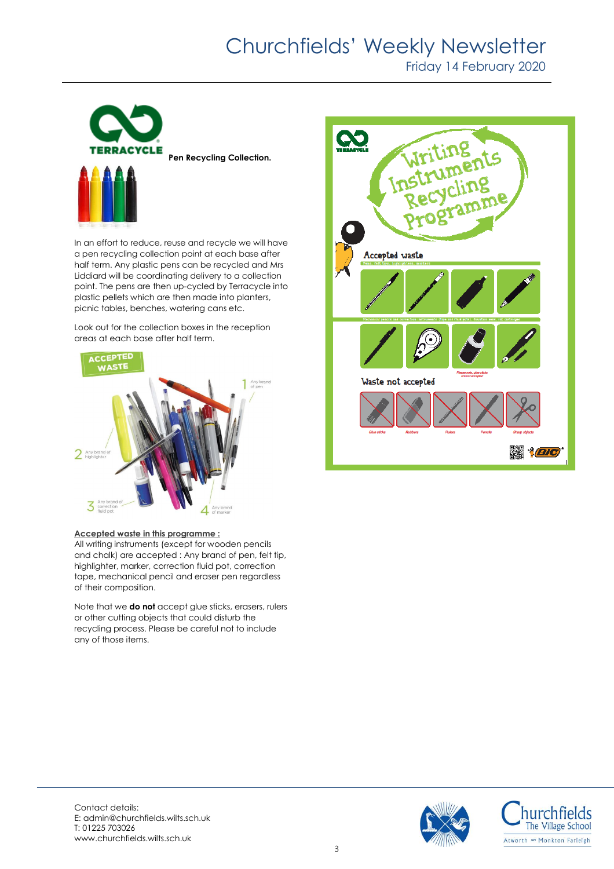# Churchfields' Weekly Newsletter

Friday 14 February 2020



In an effort to reduce, reuse and recycle we will have a pen recycling collection point at each base after half term. Any plastic pens can be recycled and Mrs Liddiard will be coordinating delivery to a collection point. The pens are then up-cycled by Terracycle into plastic pellets which are then made into planters, picnic tables, benches, watering cans etc.

Look out for the collection boxes in the reception areas at each base after half term.



#### **Accepted waste in this programme :**

All writing instruments (except for wooden pencils and chalk) are accepted : Any brand of pen, felt tip, highlighter, marker, correction fluid pot, correction tape, mechanical pencil and eraser pen regardless of their composition.

Note that we **do not** accept glue sticks, erasers, rulers or other cutting objects that could disturb the recycling process. Please be careful not to include any of those items.





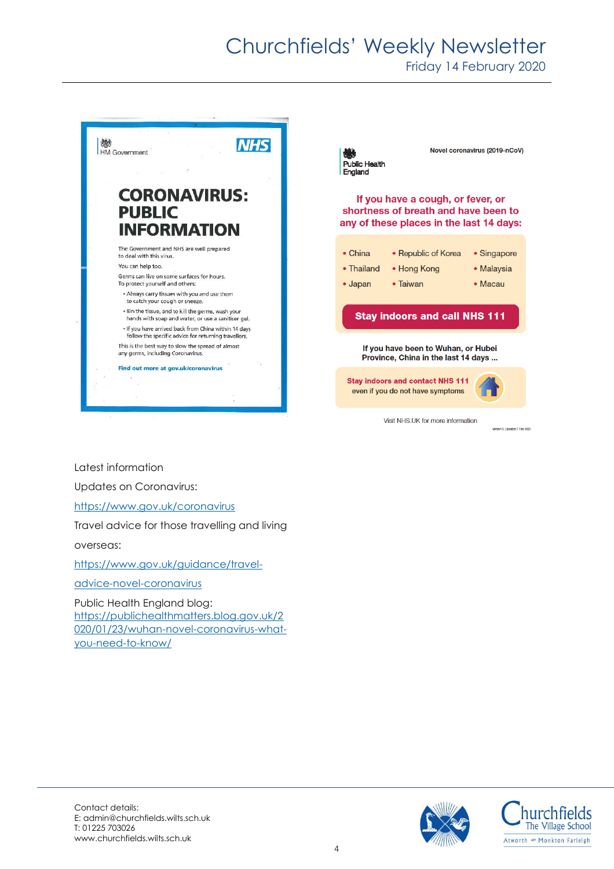# Churchfields' Weekly Newsletter

Friday 14 February 2020



Latest information

Updates on Coronavirus:

<https://www.gov.uk/coronavirus>

Travel advice for those travelling and living

overseas:

[https://www.gov.uk/guidance/travel-](https://www.gov.uk/guidance/travel-advice-novel-coronavirus)

[advice-novel-coronavirus](https://www.gov.uk/guidance/travel-advice-novel-coronavirus)

Public Health England blog: [https://publichealthmatters.blog.gov.uk/2](https://publichealthmatters.blog.gov.uk/2020/01/23/wuhan-novel-coronavirus-what-you-need-to-know/) [020/01/23/wuhan-novel-coronavirus-what](https://publichealthmatters.blog.gov.uk/2020/01/23/wuhan-novel-coronavirus-what-you-need-to-know/)[you-need-to-know/](https://publichealthmatters.blog.gov.uk/2020/01/23/wuhan-novel-coronavirus-what-you-need-to-know/)



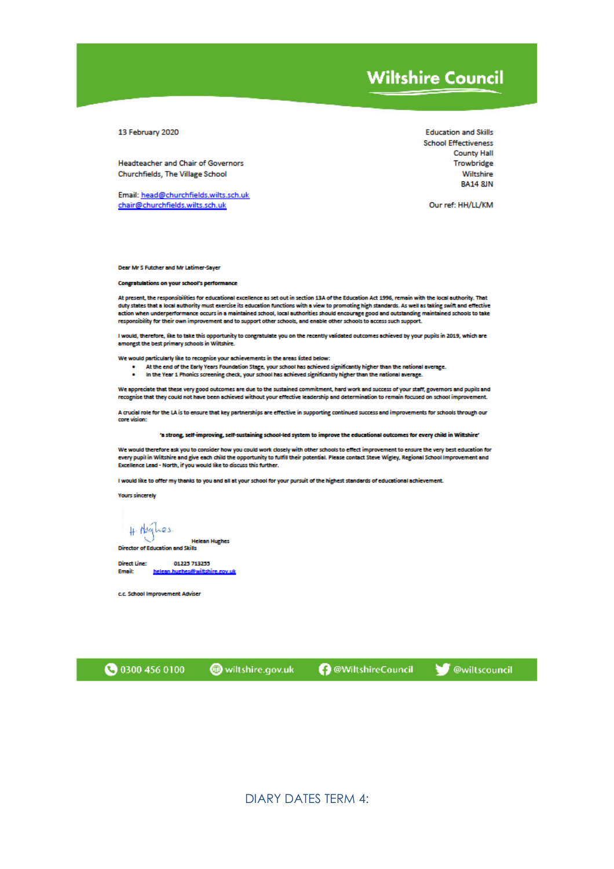## **Wiltshire Council**

13 February 2020

Headteacher and Chair of Governors Churchfields, The Village School

Email: head@churchfields.wilts.sch.uk chair@churchfields.wilts.sch.uk

**Education and Skills School Effectiveness County Hall** Trowbridge Wiltshire **RA14 8JN** 

Our ref: HH/LL/KM

Dear Mr S Futcher and Mr Latimer-Sayer

**Congratulations on your school's performance** 

At present, the responsibilities for educational excellence as set out in section 13A of the Education Act 1996, remain with the local authority. That duty states that a local authority must exercise its education functions with a view to promoting high standards. As well as taking swift and effective action when underperformance occurs in a maintained school, local authorities should encourage good and outstanding maintained schools to take responsibility for their own improvement and to support other schools, and enable other schools to access such support.

I would, therefore, like to take this opportunity to congratulate you on the recently validated outcomes achieved by your pupils in 2019, which are amongst the best primary schools in Wiltshire.

We would particularly like to recognise your achievements in the areas listed below:

- 
- At the end of the Early Years Foundation Stage, your school has achieved significantly higher than the national average.<br>In the Year 1 Phonics screening check, your school has achieved significantly higher than the nationa  $\bullet$

We appreciate that these very good outcomes are due to the sustained commitment, hard work and success of your staff, governors and pupils and recognise that they could not have been achieved without your effective leadership and determination to remain focused on school improvement.

A crucial role for the LA is to ensure that key partnerships are effective in supporting continued success and improvements for schools through our core vision:

'a strong, self-improving, self-sustaining school-led system to improve the educational outcomes for every child in Wiltshire'

We would therefore ask you to consider how you could work closely with other schools to effect improvement to ensure the very best education for every pupil in Wiltshire and give each child the opportunity to fulfill their potential. Please contact Steve Wigley, Regional School Improvement and Excellence Lead - North, if you would like to discuss this further.

I would like to offer my thanks to you and all at your school for your pursuit of the highest standards of educational achievement.

**Yours sincerely** 

 $\#$  Alghes

**Helean Hughes** Director of Education and Skills

**Direct Line:** 01223713233 helean.huehes@wiltshire.cov.uk **Email:** 

c.c. School Improvement Adviser

**3** 0300 456 0100

wiltshire.gov.uk

**B** @WiltshireCouncil

**W** @wiltscouncil

**DIARY DATES TERM 4:**